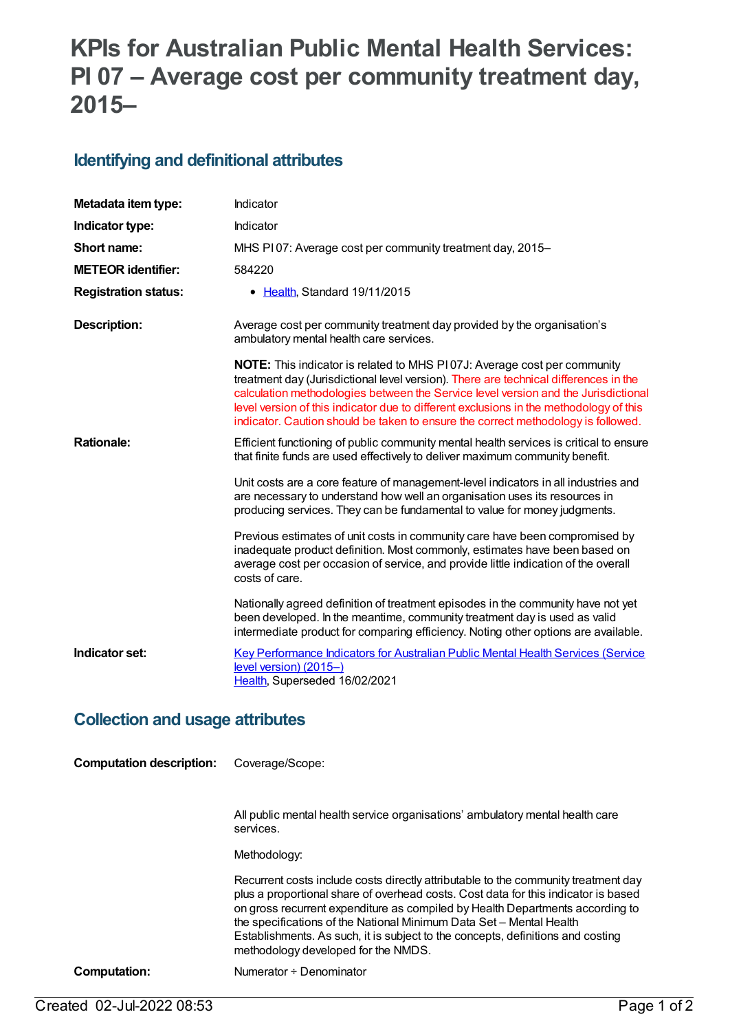# **KPIs for Australian Public Mental Health Services: PI 07 – Average cost per community treatment day, 2015–**

#### **Identifying and definitional attributes**

| Metadata item type:         | Indicator                                                                                                                                                                                                                                                                                                                                                                                                                                    |
|-----------------------------|----------------------------------------------------------------------------------------------------------------------------------------------------------------------------------------------------------------------------------------------------------------------------------------------------------------------------------------------------------------------------------------------------------------------------------------------|
| Indicator type:             | Indicator                                                                                                                                                                                                                                                                                                                                                                                                                                    |
| Short name:                 | MHS PI07: Average cost per community treatment day, 2015-                                                                                                                                                                                                                                                                                                                                                                                    |
| <b>METEOR identifier:</b>   | 584220                                                                                                                                                                                                                                                                                                                                                                                                                                       |
| <b>Registration status:</b> | • Health, Standard 19/11/2015                                                                                                                                                                                                                                                                                                                                                                                                                |
| <b>Description:</b>         | Average cost per community treatment day provided by the organisation's<br>ambulatory mental health care services.                                                                                                                                                                                                                                                                                                                           |
|                             | <b>NOTE:</b> This indicator is related to MHS P107J: Average cost per community<br>treatment day (Jurisdictional level version). There are technical differences in the<br>calculation methodologies between the Service level version and the Jurisdictional<br>level version of this indicator due to different exclusions in the methodology of this<br>indicator. Caution should be taken to ensure the correct methodology is followed. |
| <b>Rationale:</b>           | Efficient functioning of public community mental health services is critical to ensure<br>that finite funds are used effectively to deliver maximum community benefit.                                                                                                                                                                                                                                                                       |
|                             | Unit costs are a core feature of management-level indicators in all industries and<br>are necessary to understand how well an organisation uses its resources in<br>producing services. They can be fundamental to value for money judgments.                                                                                                                                                                                                |
|                             | Previous estimates of unit costs in community care have been compromised by<br>inadequate product definition. Most commonly, estimates have been based on<br>average cost per occasion of service, and provide little indication of the overall<br>costs of care.                                                                                                                                                                            |
|                             | Nationally agreed definition of treatment episodes in the community have not yet<br>been developed. In the meantime, community treatment day is used as valid<br>intermediate product for comparing efficiency. Noting other options are available.                                                                                                                                                                                          |
| Indicator set:              | Key Performance Indicators for Australian Public Mental Health Services (Service<br>level version) (2015-)<br>Health, Superseded 16/02/2021                                                                                                                                                                                                                                                                                                  |

# **Collection and usage attributes**

| <b>Computation description:</b> | Coverage/Scope:                                                                                                                                                                                                                                                                                                                                                                                                                                            |
|---------------------------------|------------------------------------------------------------------------------------------------------------------------------------------------------------------------------------------------------------------------------------------------------------------------------------------------------------------------------------------------------------------------------------------------------------------------------------------------------------|
|                                 |                                                                                                                                                                                                                                                                                                                                                                                                                                                            |
|                                 | All public mental health service organisations' ambulatory mental health care<br>services.                                                                                                                                                                                                                                                                                                                                                                 |
|                                 | Methodology:                                                                                                                                                                                                                                                                                                                                                                                                                                               |
|                                 | Recurrent costs include costs directly attributable to the community treatment day<br>plus a proportional share of overhead costs. Cost data for this indicator is based<br>on gross recurrent expenditure as compiled by Health Departments according to<br>the specifications of the National Minimum Data Set - Mental Health<br>Establishments. As such, it is subject to the concepts, definitions and costing<br>methodology developed for the NMDS. |
| Computation:                    | Numerator ÷ Denominator                                                                                                                                                                                                                                                                                                                                                                                                                                    |